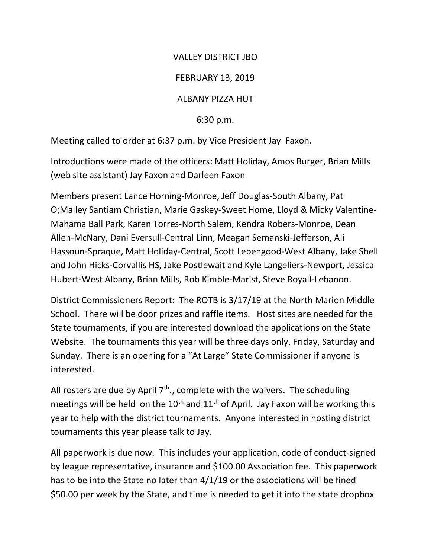## VALLEY DISTRICT JBO

## FEBRUARY 13, 2019

## ALBANY PIZZA HUT

6:30 p.m.

Meeting called to order at 6:37 p.m. by Vice President Jay Faxon.

Introductions were made of the officers: Matt Holiday, Amos Burger, Brian Mills (web site assistant) Jay Faxon and Darleen Faxon

Members present Lance Horning-Monroe, Jeff Douglas-South Albany, Pat O;Malley Santiam Christian, Marie Gaskey-Sweet Home, Lloyd & Micky Valentine-Mahama Ball Park, Karen Torres-North Salem, Kendra Robers-Monroe, Dean Allen-McNary, Dani Eversull-Central Linn, Meagan Semanski-Jefferson, Ali Hassoun-Spraque, Matt Holiday-Central, Scott Lebengood-West Albany, Jake Shell and John Hicks-Corvallis HS, Jake Postlewait and Kyle Langeliers-Newport, Jessica Hubert-West Albany, Brian Mills, Rob Kimble-Marist, Steve Royall-Lebanon.

District Commissioners Report: The ROTB is 3/17/19 at the North Marion Middle School. There will be door prizes and raffle items. Host sites are needed for the State tournaments, if you are interested download the applications on the State Website. The tournaments this year will be three days only, Friday, Saturday and Sunday. There is an opening for a "At Large" State Commissioner if anyone is interested.

All rosters are due by April  $7<sup>th</sup>$ ., complete with the waivers. The scheduling meetings will be held on the  $10<sup>th</sup>$  and  $11<sup>th</sup>$  of April. Jay Faxon will be working this year to help with the district tournaments. Anyone interested in hosting district tournaments this year please talk to Jay.

All paperwork is due now. This includes your application, code of conduct-signed by league representative, insurance and \$100.00 Association fee. This paperwork has to be into the State no later than 4/1/19 or the associations will be fined \$50.00 per week by the State, and time is needed to get it into the state dropbox